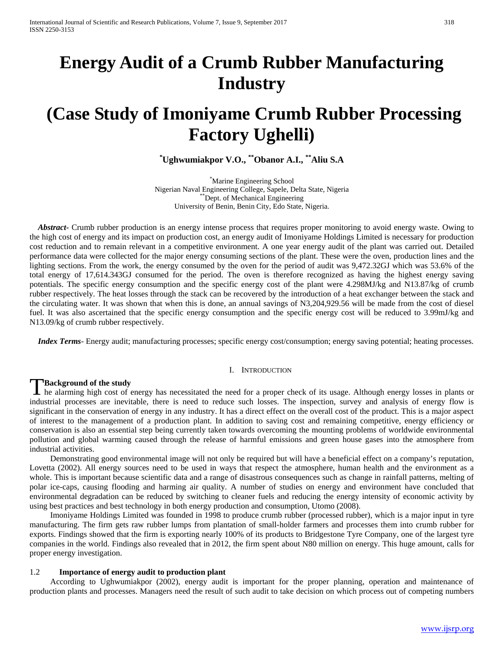# **Energy Audit of a Crumb Rubber Manufacturing Industry**

# **(Case Study of Imoniyame Crumb Rubber Processing Factory Ughelli)**

**\* Ughwumiakpor V.O., \*\*Obanor A.I., \*\*Aliu S.A** 

\* Marine Engineering School Nigerian Naval Engineering College, Sapele, Delta State, Nigeria \*\*Dept. of Mechanical Engineering University of Benin, Benin City, Edo State, Nigeria.

*Abstract***-** Crumb rubber production is an energy intense process that requires proper monitoring to avoid energy waste. Owing to the high cost of energy and its impact on production cost, an energy audit of Imoniyame Holdings Limited is necessary for production cost reduction and to remain relevant in a competitive environment. A one year energy audit of the plant was carried out. Detailed performance data were collected for the major energy consuming sections of the plant. These were the oven, production lines and the lighting sections. From the work, the energy consumed by the oven for the period of audit was 9,472.32GJ which was 53.6% of the total energy of 17,614.343GJ consumed for the period. The oven is therefore recognized as having the highest energy saving potentials. The specific energy consumption and the specific energy cost of the plant were 4.298MJ/kg and N13.87/kg of crumb rubber respectively. The heat losses through the stack can be recovered by the introduction of a heat exchanger between the stack and the circulating water. It was shown that when this is done, an annual savings of N3,204,929.56 will be made from the cost of diesel fuel. It was also ascertained that the specific energy consumption and the specific energy cost will be reduced to 3.99mJ/kg and N13.09/kg of crumb rubber respectively.

*Index Terms*- Energy audit; manufacturing processes; specific energy cost/consumption; energy saving potential; heating processes.

#### I. INTRODUCTION

# **Background of the study**

**TBackground of the study**<br>
The alarming high cost of energy has necessitated the need for a proper check of its usage. Although energy losses in plants or industrial processes are inevitable, there is need to reduce such losses. The inspection, survey and analysis of energy flow is significant in the conservation of energy in any industry. It has a direct effect on the overall cost of the product. This is a major aspect of interest to the management of a production plant. In addition to saving cost and remaining competitive, energy efficiency or conservation is also an essential step being currently taken towards overcoming the mounting problems of worldwide environmental pollution and global warming caused through the release of harmful emissions and green house gases into the atmosphere from industrial activities.

 Demonstrating good environmental image will not only be required but will have a beneficial effect on a company's reputation, Lovetta (2002). All energy sources need to be used in ways that respect the atmosphere, human health and the environment as a whole. This is important because scientific data and a range of disastrous consequences such as change in rainfall patterns, melting of polar ice-caps, causing flooding and harming air quality. A number of studies on energy and environment have concluded that environmental degradation can be reduced by switching to cleaner fuels and reducing the energy intensity of economic activity by using best practices and best technology in both energy production and consumption, Utomo (2008).

 Imoniyame Holdings Limited was founded in 1998 to produce crumb rubber (processed rubber), which is a major input in tyre manufacturing. The firm gets raw rubber lumps from plantation of small-holder farmers and processes them into crumb rubber for exports. Findings showed that the firm is exporting nearly 100% of its products to Bridgestone Tyre Company, one of the largest tyre companies in the world. Findings also revealed that in 2012, the firm spent about N80 million on energy. This huge amount, calls for proper energy investigation.

#### 1.2 **Importance of energy audit to production plant**

 According to Ughwumiakpor (2002), energy audit is important for the proper planning, operation and maintenance of production plants and processes. Managers need the result of such audit to take decision on which process out of competing numbers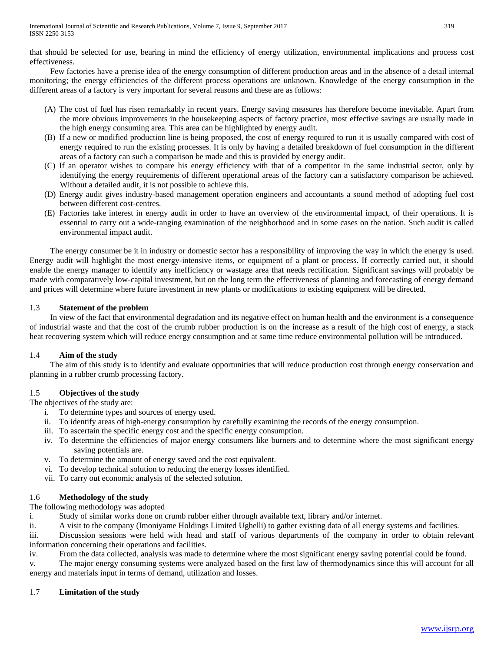that should be selected for use, bearing in mind the efficiency of energy utilization, environmental implications and process cost effectiveness.

 Few factories have a precise idea of the energy consumption of different production areas and in the absence of a detail internal monitoring; the energy efficiencies of the different process operations are unknown. Knowledge of the energy consumption in the different areas of a factory is very important for several reasons and these are as follows:

- (A) The cost of fuel has risen remarkably in recent years. Energy saving measures has therefore become inevitable. Apart from the more obvious improvements in the housekeeping aspects of factory practice, most effective savings are usually made in the high energy consuming area. This area can be highlighted by energy audit.
- (B) If a new or modified production line is being proposed, the cost of energy required to run it is usually compared with cost of energy required to run the existing processes. It is only by having a detailed breakdown of fuel consumption in the different areas of a factory can such a comparison be made and this is provided by energy audit.
- (C) If an operator wishes to compare his energy efficiency with that of a competitor in the same industrial sector, only by identifying the energy requirements of different operational areas of the factory can a satisfactory comparison be achieved. Without a detailed audit, it is not possible to achieve this.
- (D) Energy audit gives industry-based management operation engineers and accountants a sound method of adopting fuel cost between different cost-centres.
- (E) Factories take interest in energy audit in order to have an overview of the environmental impact, of their operations. It is essential to carry out a wide-ranging examination of the neighborhood and in some cases on the nation. Such audit is called environmental impact audit.

 The energy consumer be it in industry or domestic sector has a responsibility of improving the way in which the energy is used. Energy audit will highlight the most energy-intensive items, or equipment of a plant or process. If correctly carried out, it should enable the energy manager to identify any inefficiency or wastage area that needs rectification. Significant savings will probably be made with comparatively low-capital investment, but on the long term the effectiveness of planning and forecasting of energy demand and prices will determine where future investment in new plants or modifications to existing equipment will be directed.

# 1.3 **Statement of the problem**

 In view of the fact that environmental degradation and its negative effect on human health and the environment is a consequence of industrial waste and that the cost of the crumb rubber production is on the increase as a result of the high cost of energy, a stack heat recovering system which will reduce energy consumption and at same time reduce environmental pollution will be introduced.

# 1.4 **Aim of the study**

 The aim of this study is to identify and evaluate opportunities that will reduce production cost through energy conservation and planning in a rubber crumb processing factory.

# 1.5 **Objectives of the study**

The objectives of the study are:

- i. To determine types and sources of energy used.
- ii. To identify areas of high-energy consumption by carefully examining the records of the energy consumption.
- iii. To ascertain the specific energy cost and the specific energy consumption.
- iv. To determine the efficiencies of major energy consumers like burners and to determine where the most significant energy saving potentials are.
- v. To determine the amount of energy saved and the cost equivalent.
- vi. To develop technical solution to reducing the energy losses identified.
- vii. To carry out economic analysis of the selected solution.

# 1.6 **Methodology of the study**

The following methodology was adopted

i. Study of similar works done on crumb rubber either through available text, library and/or internet.

ii. A visit to the company (Imoniyame Holdings Limited Ughelli) to gather existing data of all energy systems and facilities. iii. Discussion sessions were held with head and staff of various departments of the company in order to obtain relevant

information concerning their operations and facilities.

iv. From the data collected, analysis was made to determine where the most significant energy saving potential could be found.

v. The major energy consuming systems were analyzed based on the first law of thermodynamics since this will account for all energy and materials input in terms of demand, utilization and losses.

# 1.7 **Limitation of the study**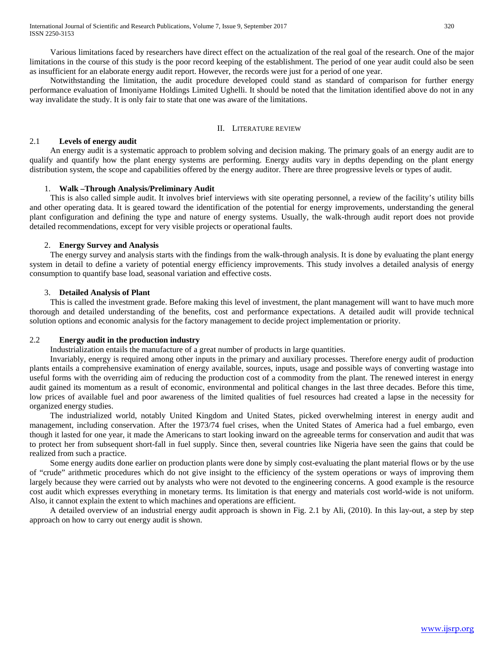Notwithstanding the limitation, the audit procedure developed could stand as standard of comparison for further energy performance evaluation of Imoniyame Holdings Limited Ughelli. It should be noted that the limitation identified above do not in any way invalidate the study. It is only fair to state that one was aware of the limitations.

#### II. LITERATURE REVIEW

# 2.1 **Levels of energy audit**

 An energy audit is a systematic approach to problem solving and decision making. The primary goals of an energy audit are to qualify and quantify how the plant energy systems are performing. Energy audits vary in depths depending on the plant energy distribution system, the scope and capabilities offered by the energy auditor. There are three progressive levels or types of audit.

#### 1. **Walk –Through Analysis/Preliminary Audit**

 This is also called simple audit. It involves brief interviews with site operating personnel, a review of the facility's utility bills and other operating data. It is geared toward the identification of the potential for energy improvements, understanding the general plant configuration and defining the type and nature of energy systems. Usually, the walk-through audit report does not provide detailed recommendations, except for very visible projects or operational faults.

#### 2. **Energy Survey and Analysis**

 The energy survey and analysis starts with the findings from the walk-through analysis. It is done by evaluating the plant energy system in detail to define a variety of potential energy efficiency improvements. This study involves a detailed analysis of energy consumption to quantify base load, seasonal variation and effective costs.

#### 3. **Detailed Analysis of Plant**

 This is called the investment grade. Before making this level of investment, the plant management will want to have much more thorough and detailed understanding of the benefits, cost and performance expectations. A detailed audit will provide technical solution options and economic analysis for the factory management to decide project implementation or priority.

# 2.2 **Energy audit in the production industry**

Industrialization entails the manufacture of a great number of products in large quantities.

 Invariably, energy is required among other inputs in the primary and auxiliary processes. Therefore energy audit of production plants entails a comprehensive examination of energy available, sources, inputs, usage and possible ways of converting wastage into useful forms with the overriding aim of reducing the production cost of a commodity from the plant. The renewed interest in energy audit gained its momentum as a result of economic, environmental and political changes in the last three decades. Before this time, low prices of available fuel and poor awareness of the limited qualities of fuel resources had created a lapse in the necessity for organized energy studies.

 The industrialized world, notably United Kingdom and United States, picked overwhelming interest in energy audit and management, including conservation. After the 1973/74 fuel crises, when the United States of America had a fuel embargo, even though it lasted for one year, it made the Americans to start looking inward on the agreeable terms for conservation and audit that was to protect her from subsequent short-fall in fuel supply. Since then, several countries like Nigeria have seen the gains that could be realized from such a practice.

 Some energy audits done earlier on production plants were done by simply cost-evaluating the plant material flows or by the use of "crude" arithmetic procedures which do not give insight to the efficiency of the system operations or ways of improving them largely because they were carried out by analysts who were not devoted to the engineering concerns. A good example is the resource cost audit which expresses everything in monetary terms. Its limitation is that energy and materials cost world-wide is not uniform. Also, it cannot explain the extent to which machines and operations are efficient.

 A detailed overview of an industrial energy audit approach is shown in Fig. 2.1 by Ali, (2010). In this lay-out, a step by step approach on how to carry out energy audit is shown.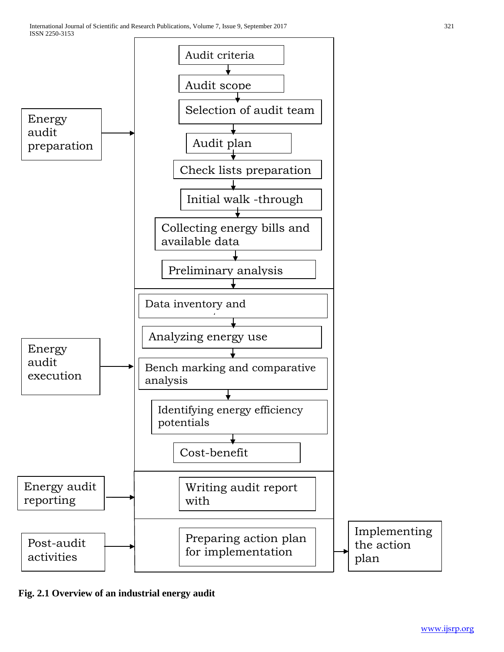

**Fig. 2.1 Overview of an industrial energy audit**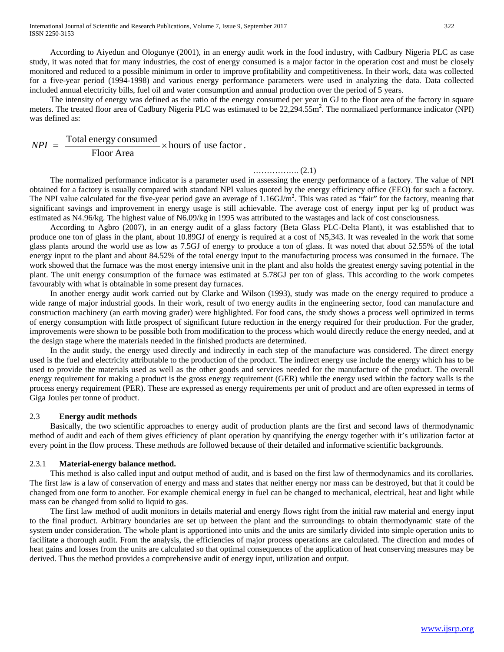International Journal of Scientific and Research Publications, Volume 7, Issue 9, September 2017 322 ISSN 2250-3153

 According to Aiyedun and Ologunye (2001), in an energy audit work in the food industry, with Cadbury Nigeria PLC as case study, it was noted that for many industries, the cost of energy consumed is a major factor in the operation cost and must be closely monitored and reduced to a possible minimum in order to improve profitability and competitiveness. In their work, data was collected for a five-year period (1994-1998) and various energy performance parameters were used in analyzing the data. Data collected included annual electricity bills, fuel oil and water consumption and annual production over the period of 5 years.

 The intensity of energy was defined as the ratio of the energy consumed per year in GJ to the floor area of the factory in square meters. The treated floor area of Cadbury Nigeria PLC was estimated to be 22,294.55m<sup>2</sup>. The normalized performance indicator (NPI) was defined as:

$$
NPI = \frac{\text{Total energy consumed}}{\text{Floor Area}} \times \text{hours of use factor}.
$$

#### …………….. (2.1)

 The normalized performance indicator is a parameter used in assessing the energy performance of a factory. The value of NPI obtained for a factory is usually compared with standard NPI values quoted by the energy efficiency office (EEO) for such a factory. The NPI value calculated for the five-year period gave an average of  $1.16 \text{GJ/m}^2$ . This was rated as "fair" for the factory, meaning that significant savings and improvement in energy usage is still achievable. The average cost of energy input per kg of product was estimated as N4.96/kg. The highest value of N6.09/kg in 1995 was attributed to the wastages and lack of cost consciousness.

 According to Agbro (2007), in an energy audit of a glass factory (Beta Glass PLC-Delta Plant), it was established that to produce one ton of glass in the plant, about 10.89GJ of energy is required at a cost of N5,343. It was revealed in the work that some glass plants around the world use as low as 7.5GJ of energy to produce a ton of glass. It was noted that about 52.55% of the total energy input to the plant and about 84.52% of the total energy input to the manufacturing process was consumed in the furnace. The work showed that the furnace was the most energy intensive unit in the plant and also holds the greatest energy saving potential in the plant. The unit energy consumption of the furnace was estimated at 5.78GJ per ton of glass. This according to the work competes favourably with what is obtainable in some present day furnaces.

 In another energy audit work carried out by Clarke and Wilson (1993), study was made on the energy required to produce a wide range of major industrial goods. In their work, result of two energy audits in the engineering sector, food can manufacture and construction machinery (an earth moving grader) were highlighted. For food cans, the study shows a process well optimized in terms of energy consumption with little prospect of significant future reduction in the energy required for their production. For the grader, improvements were shown to be possible both from modification to the process which would directly reduce the energy needed, and at the design stage where the materials needed in the finished products are determined.

 In the audit study, the energy used directly and indirectly in each step of the manufacture was considered. The direct energy used is the fuel and electricity attributable to the production of the product. The indirect energy use include the energy which has to be used to provide the materials used as well as the other goods and services needed for the manufacture of the product. The overall energy requirement for making a product is the gross energy requirement (GER) while the energy used within the factory walls is the process energy requirement (PER). These are expressed as energy requirements per unit of product and are often expressed in terms of Giga Joules per tonne of product.

#### 2.3 **Energy audit methods**

 Basically, the two scientific approaches to energy audit of production plants are the first and second laws of thermodynamic method of audit and each of them gives efficiency of plant operation by quantifying the energy together with it's utilization factor at every point in the flow process. These methods are followed because of their detailed and informative scientific backgrounds.

#### 2.3.1 **Material-energy balance method.**

 This method is also called input and output method of audit, and is based on the first law of thermodynamics and its corollaries. The first law is a law of conservation of energy and mass and states that neither energy nor mass can be destroyed, but that it could be changed from one form to another. For example chemical energy in fuel can be changed to mechanical, electrical, heat and light while mass can be changed from solid to liquid to gas.

 The first law method of audit monitors in details material and energy flows right from the initial raw material and energy input to the final product. Arbitrary boundaries are set up between the plant and the surroundings to obtain thermodynamic state of the system under consideration. The whole plant is apportioned into units and the units are similarly divided into simple operation units to facilitate a thorough audit. From the analysis, the efficiencies of major process operations are calculated. The direction and modes of heat gains and losses from the units are calculated so that optimal consequences of the application of heat conserving measures may be derived. Thus the method provides a comprehensive audit of energy input, utilization and output.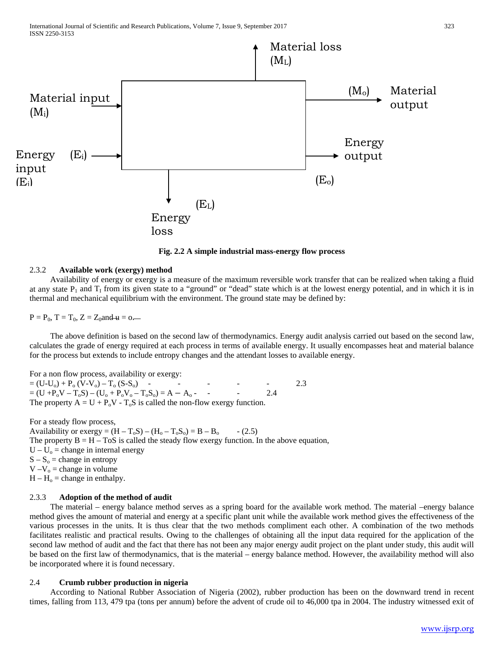

**Fig. 2.2 A simple industrial mass-energy flow process**

#### 2.3.2 **Available work (exergy) method**

 Availability of energy or exergy is a measure of the maximum reversible work transfer that can be realized when taking a fluid at any state  $P_1$  and  $T_1$  from its given state to a "ground" or "dead" state which is at the lowest energy potential, and in which it is in thermal and mechanical equilibrium with the environment. The ground state may be defined by:

 $P = P_0$ ,  $T = T_0$ ,  $Z = Z_0$  and  $\mu = 0$ .

 The above definition is based on the second law of thermodynamics. Energy audit analysis carried out based on the second law, calculates the grade of energy required at each process in terms of available energy. It usually encompasses heat and material balance for the process but extends to include entropy changes and the attendant losses to available energy.

For a non flow process, availability or exergy:

 $=(U-U<sub>o</sub>) + P<sub>o</sub> (V-V<sub>o</sub>) - T<sub>o</sub> (S-S<sub>o</sub>)$  - - - - 2.3  $= (U + P_0V - T_0S) - (U_0 + P_0V_0 - T_0S_0) = A - A_0$  - - 2.4 The property  $A = U + P_0V - T_0S$  is called the non-flow exergy function.

For a steady flow process, Availability or exergy =  $(H - T_0S) - (H_0 - T_0S_0) = B - B_0$  - (2.5) The property  $B = H - T \circ S$  is called the steady flow exergy function. In the above equation,  $U - U_0$  = change in internal energy  $S - S<sub>o</sub> = change in entropy$  $V - V_0 = change in volume$  $H - H<sub>o</sub> = change in enthalpy.$ 

#### 2.3.3 **Adoption of the method of audit**

 The material – energy balance method serves as a spring board for the available work method. The material –energy balance method gives the amount of material and energy at a specific plant unit while the available work method gives the effectiveness of the various processes in the units. It is thus clear that the two methods compliment each other. A combination of the two methods facilitates realistic and practical results. Owing to the challenges of obtaining all the input data required for the application of the second law method of audit and the fact that there has not been any major energy audit project on the plant under study, this audit will be based on the first law of thermodynamics, that is the material – energy balance method. However, the availability method will also be incorporated where it is found necessary.

#### 2.4 **Crumb rubber production in nigeria**

 According to National Rubber Association of Nigeria (2002), rubber production has been on the downward trend in recent times, falling from 113, 479 tpa (tons per annum) before the advent of crude oil to 46,000 tpa in 2004. The industry witnessed exit of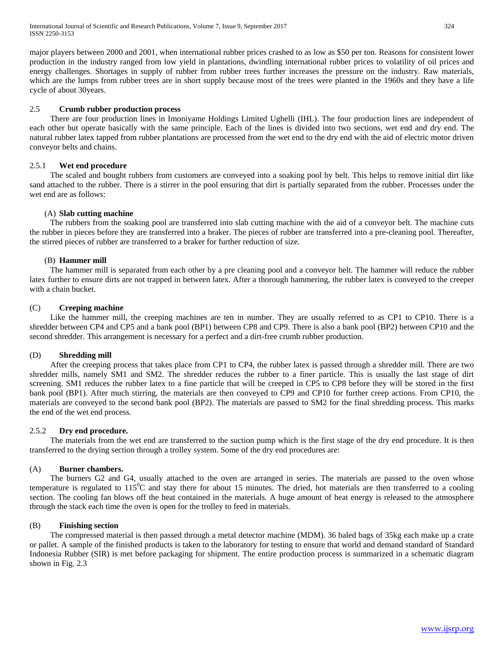major players between 2000 and 2001, when international rubber prices crashed to as low as \$50 per ton. Reasons for consistent lower production in the industry ranged from low yield in plantations, dwindling international rubber prices to volatility of oil prices and energy challenges. Shortages in supply of rubber from rubber trees further increases the pressure on the industry. Raw materials, which are the lumps from rubber trees are in short supply because most of the trees were planted in the 1960s and they have a life cycle of about 30years.

# 2.5 **Crumb rubber production process**

 There are four production lines in Imoniyame Holdings Limited Ughelli (IHL). The four production lines are independent of each other but operate basically with the same principle. Each of the lines is divided into two sections, wet end and dry end. The natural rubber latex tapped from rubber plantations are processed from the wet end to the dry end with the aid of electric motor driven conveyor belts and chains.

#### 2.5.1 **Wet end procedure**

 The scaled and bought rubbers from customers are conveyed into a soaking pool by belt. This helps to remove initial dirt like sand attached to the rubber. There is a stirrer in the pool ensuring that dirt is partially separated from the rubber. Processes under the wet end are as follows:

# (A) **Slab cutting machine**

 The rubbers from the soaking pool are transferred into slab cutting machine with the aid of a conveyor belt. The machine cuts the rubber in pieces before they are transferred into a braker. The pieces of rubber are transferred into a pre-cleaning pool. Thereafter, the stirred pieces of rubber are transferred to a braker for further reduction of size.

# (B) **Hammer mill**

 The hammer mill is separated from each other by a pre cleaning pool and a conveyor belt. The hammer will reduce the rubber latex further to ensure dirts are not trapped in between latex. After a thorough hammering, the rubber latex is conveyed to the creeper with a chain bucket.

# (C) **Creeping machine**

 Like the hammer mill, the creeping machines are ten in number. They are usually referred to as CP1 to CP10. There is a shredder between CP4 and CP5 and a bank pool (BP1) between CP8 and CP9. There is also a bank pool (BP2) between CP10 and the second shredder. This arrangement is necessary for a perfect and a dirt-free crumb rubber production.

#### (D) **Shredding mill**

 After the creeping process that takes place from CP1 to CP4, the rubber latex is passed through a shredder mill. There are two shredder mills, namely SM1 and SM2. The shredder reduces the rubber to a finer particle. This is usually the last stage of dirt screening. SM1 reduces the rubber latex to a fine particle that will be creeped in CP5 to CP8 before they will be stored in the first bank pool (BP1). After much stirring, the materials are then conveyed to CP9 and CP10 for further creep actions. From CP10, the materials are conveyed to the second bank pool (BP2). The materials are passed to SM2 for the final shredding process. This marks the end of the wet end process.

#### 2.5.2 **Dry end procedure.**

 The materials from the wet end are transferred to the suction pump which is the first stage of the dry end procedure. It is then transferred to the drying section through a trolley system. Some of the dry end procedures are:

#### (A) **Burner chambers.**

 The burners G2 and G4, usually attached to the oven are arranged in series. The materials are passed to the oven whose temperature is regulated to  $115^{\circ}$ C and stay there for about 15 minutes. The dried, hot materials are then transferred to a cooling section. The cooling fan blows off the heat contained in the materials. A huge amount of heat energy is released to the atmosphere through the stack each time the oven is open for the trolley to feed in materials.

#### (B) **Finishing section**

 The compressed material is then passed through a metal detector machine (MDM). 36 baled bags of 35kg each make up a crate or pallet. A sample of the finished products is taken to the laboratory for testing to ensure that world and demand standard of Standard Indonesia Rubber (SIR) is met before packaging for shipment. The entire production process is summarized in a schematic diagram shown in Fig. 2.3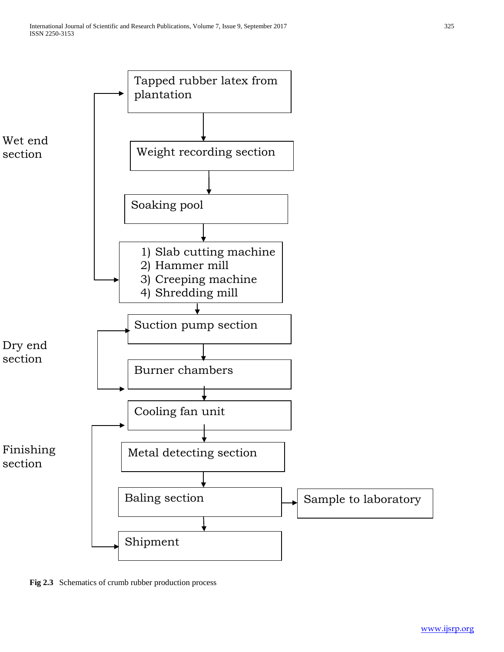

**Fig 2.3** Schematics of crumb rubber production process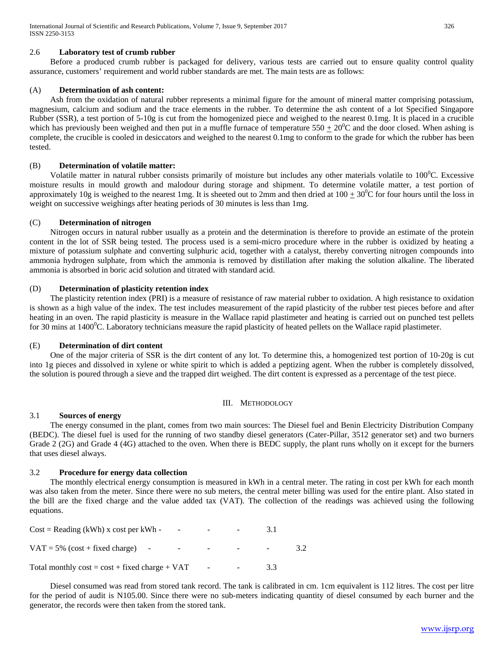International Journal of Scientific and Research Publications, Volume 7, Issue 9, September 2017 326 ISSN 2250-3153

#### 2.6 **Laboratory test of crumb rubber**

 Before a produced crumb rubber is packaged for delivery, various tests are carried out to ensure quality control quality assurance, customers' requirement and world rubber standards are met. The main tests are as follows:

#### (A) **Determination of ash content:**

 Ash from the oxidation of natural rubber represents a minimal figure for the amount of mineral matter comprising potassium, magnesium, calcium and sodium and the trace elements in the rubber. To determine the ash content of a lot Specified Singapore Rubber (SSR), a test portion of 5-10g is cut from the homogenized piece and weighed to the nearest 0.1mg. It is placed in a crucible which has previously been weighed and then put in a muffle furnace of temperature  $550 \pm 20^0$ C and the door closed. When ashing is complete, the crucible is cooled in desiccators and weighed to the nearest 0.1mg to conform to the grade for which the rubber has been tested.

#### (B) **Determination of volatile matter:**

Volatile matter in natural rubber consists primarily of moisture but includes any other materials volatile to  $100^{\circ}$ C. Excessive moisture results in mould growth and malodour during storage and shipment. To determine volatile matter, a test portion of approximately 10g is weighed to the nearest 1mg. It is sheeted out to 2mm and then dried at  $100 \pm 30^0C$  for four hours until the loss in weight on successive weighings after heating periods of 30 minutes is less than 1mg.

#### (C) **Determination of nitrogen**

 Nitrogen occurs in natural rubber usually as a protein and the determination is therefore to provide an estimate of the protein content in the lot of SSR being tested. The process used is a semi-micro procedure where in the rubber is oxidized by heating a mixture of potassium sulphate and converting sulphuric acid, together with a catalyst, thereby converting nitrogen compounds into ammonia hydrogen sulphate, from which the ammonia is removed by distillation after making the solution alkaline. The liberated ammonia is absorbed in boric acid solution and titrated with standard acid.

#### (D) **Determination of plasticity retention index**

 The plasticity retention index (PRI) is a measure of resistance of raw material rubber to oxidation. A high resistance to oxidation is shown as a high value of the index. The test includes measurement of the rapid plasticity of the rubber test pieces before and after heating in an oven. The rapid plasticity is measure in the Wallace rapid plastimeter and heating is carried out on punched test pellets for 30 mins at 1400 $^0$ C. Laboratory technicians measure the rapid plasticity of heated pellets on the Wallace rapid plastimeter.

#### (E) **Determination of dirt content**

 One of the major criteria of SSR is the dirt content of any lot. To determine this, a homogenized test portion of 10-20g is cut into 1g pieces and dissolved in xylene or white spirit to which is added a peptizing agent. When the rubber is completely dissolved, the solution is poured through a sieve and the trapped dirt weighed. The dirt content is expressed as a percentage of the test piece.

#### III. METHODOLOGY

#### 3.1 **Sources of energy**

 The energy consumed in the plant, comes from two main sources: The Diesel fuel and Benin Electricity Distribution Company (BEDC). The diesel fuel is used for the running of two standby diesel generators (Cater-Pillar, 3512 generator set) and two burners Grade 2 (2G) and Grade 4 (4G) attached to the oven. When there is BEDC supply, the plant runs wholly on it except for the burners that uses diesel always.

#### 3.2 **Procedure for energy data collection**

 The monthly electrical energy consumption is measured in kWh in a central meter. The rating in cost per kWh for each month was also taken from the meter. Since there were no sub meters, the central meter billing was used for the entire plant. Also stated in the bill are the fixed charge and the value added tax (VAT). The collection of the readings was achieved using the following equations.

| $Cost = Reading (kWh) x cost per kWh -$<br>$\qquad \qquad \blacksquare$ | -      |        |    |     |
|-------------------------------------------------------------------------|--------|--------|----|-----|
| $VAT = 5\%$ (cost + fixed charge) -<br>$\overline{\phantom{0}}$         |        |        |    | 3.2 |
| Total monthly $cost = cost + fixed charge + VAT$                        | $\sim$ | $\sim$ | 33 |     |

 Diesel consumed was read from stored tank record. The tank is calibrated in cm. 1cm equivalent is 112 litres. The cost per litre for the period of audit is N105.00. Since there were no sub-meters indicating quantity of diesel consumed by each burner and the generator, the records were then taken from the stored tank.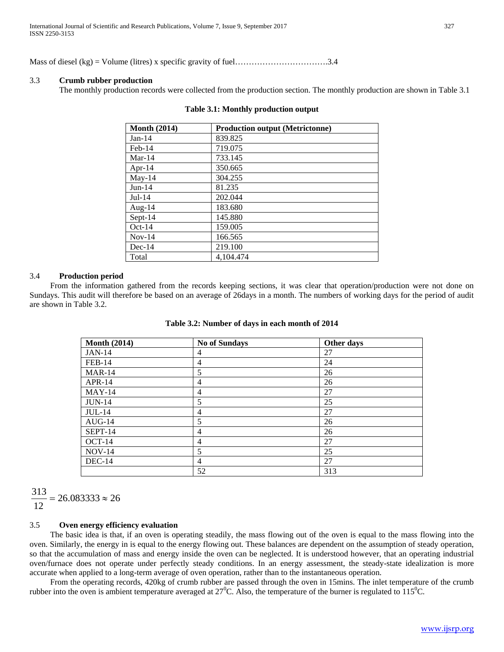Mass of diesel (kg) = Volume (litres) x specific gravity of fuel…………………………….3.4

#### 3.3 **Crumb rubber production**

The monthly production records were collected from the production section. The monthly production are shown in Table 3.1

| <b>Month (2014)</b> | <b>Production output (Metrictonne)</b> |
|---------------------|----------------------------------------|
| $Jan-14$            | 839.825                                |
| $Feb-14$            | 719.075                                |
| $Mar-14$            | 733.145                                |
| Apr-14              | 350.665                                |
| $May-14$            | 304.255                                |
| $Jun-14$            | 81.235                                 |
| $Jul-14$            | 202.044                                |
| Aug-14              | 183.680                                |
| Sept-14             | 145.880                                |
| $Oct-14$            | 159.005                                |
| $Nov-14$            | 166.565                                |
| $Dec-14$            | 219.100                                |
| Total               | 4,104.474                              |

#### **Table 3.1: Monthly production output**

#### 3.4 **Production period**

 From the information gathered from the records keeping sections, it was clear that operation/production were not done on Sundays. This audit will therefore be based on an average of 26days in a month. The numbers of working days for the period of audit are shown in Table 3.2.

| <b>Month (2014)</b> | <b>No of Sundays</b> | Other days |
|---------------------|----------------------|------------|
| <b>JAN-14</b>       | 4                    | 27         |
| <b>FEB-14</b>       | $\overline{4}$       | 24         |
| $MAR-14$            | 5                    | 26         |
| APR-14              | $\overline{4}$       | 26         |
| $MAY-14$            | $\overline{4}$       | 27         |
| $JUN-14$            | 5                    | 25         |
| <b>JUL-14</b>       | $\overline{4}$       | 27         |
| $AUG-14$            | 5                    | 26         |
| SEPT-14             | $\overline{4}$       | 26         |
| $OCT-14$            | $\overline{4}$       | 27         |
| $NOV-14$            | 5                    | 25         |
| DEC-14              | $\overline{4}$       | 27         |
|                     | 52                   | 313        |

 $26.083333 \approx 26$ 12  $\frac{313}{12}$  = 26.083333  $\approx$ 

# 3.5 **Oven energy efficiency evaluation**

 The basic idea is that, if an oven is operating steadily, the mass flowing out of the oven is equal to the mass flowing into the oven. Similarly, the energy in is equal to the energy flowing out. These balances are dependent on the assumption of steady operation, so that the accumulation of mass and energy inside the oven can be neglected. It is understood however, that an operating industrial oven/furnace does not operate under perfectly steady conditions. In an energy assessment, the steady-state idealization is more accurate when applied to a long-term average of oven operation, rather than to the instantaneous operation.

 From the operating records, 420kg of crumb rubber are passed through the oven in 15mins. The inlet temperature of the crumb rubber into the oven is ambient temperature averaged at  $27^{\circ}$ C. Also, the temperature of the burner is regulated to  $115^{\circ}$ C.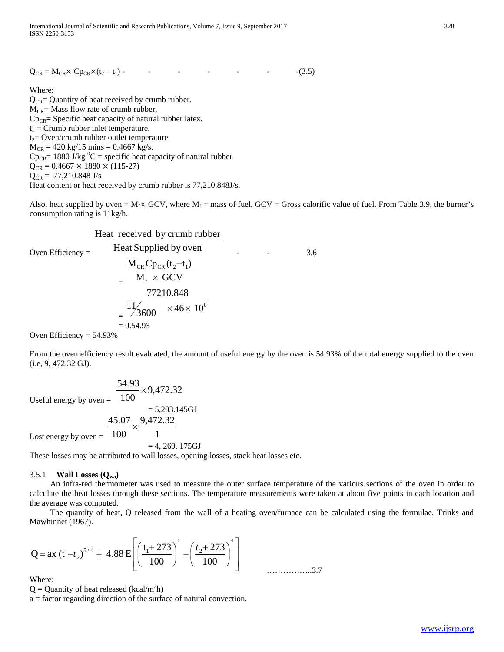$Q_{CR} = M_{CR} \times Cp_{CR} \times (t_2 - t_1)$  - - - - - - - - - - - (3.5)

#### Where:

 $Q_{CR}$ = Quantity of heat received by crumb rubber.  $M_{CR}$ = Mass flow rate of crumb rubber,  $Cp_{CR}$ = Specific heat capacity of natural rubber latex.  $t_1$  = Crumb rubber inlet temperature.  $t_2$ = Oven/crumb rubber outlet temperature.  $M_{CR} = 420 \text{ kg}/15 \text{ mins} = 0.4667 \text{ kg/s}.$  $Cp_{CR}$ = 1880 J/kg <sup>0</sup>C = specific heat capacity of natural rubber  $Q_{CR} = 0.4667 \times 1880 \times (115-27)$  $Q_{CR} = 77,210.848$  J/s Heat content or heat received by crumb rubber is 77,210.848J/s.

Also, heat supplied by oven =  $M_f \times$  GCV, where  $M_f$  = mass of fuel, GCV = Gross calorific value of fuel. From Table 3.9, the burner's consumption rating is 11kg/h.

Oven Efficiency = Heat Supplied by oven Heat received by crumb rubber - - 3.6 <sup>=</sup>M GCV M Cp (t t ) f CR CR 2 1 × − = 6 46 10 <sup>3600</sup> 11 77210.848 × × = 0.54.93

Oven Efficiency =  $54.93%$ 

From the oven efficiency result evaluated, the amount of useful energy by the oven is 54.93% of the total energy supplied to the oven (i.e, 9, 472.32 GJ).

Useful energy by oven  $=$ 9,472.32 100  $\frac{54.93}{100} \times$  $= 5,203.145$ GJ 9,472.32 100  $\frac{45.07}{45.02} \times$ 

Lost energy by oven  $=$ 

 $= 4, 269. 175 \text{GJ}$ 

These losses may be attributed to wall losses, opening losses, stack heat losses etc.

#### 3.5.1 **Wall Losses (Qwa)**

 An infra-red thermometer was used to measure the outer surface temperature of the various sections of the oven in order to calculate the heat losses through these sections. The temperature measurements were taken at about five points in each location and the average was computed.

 The quantity of heat, Q released from the wall of a heating oven/furnace can be calculated using the formulae, Trinks and Mawhinnet (1967).

$$
Q = ax (t1-t2)5/4 + 4.88 E \left[ \left( \frac{t1+273}{100} \right)^4 - \left( \frac{t2+273}{100} \right)^4 \right]
$$

Where:

 $Q =$  Quantity of heat released (kcal/m<sup>2</sup>h)

a = factor regarding direction of the surface of natural convection.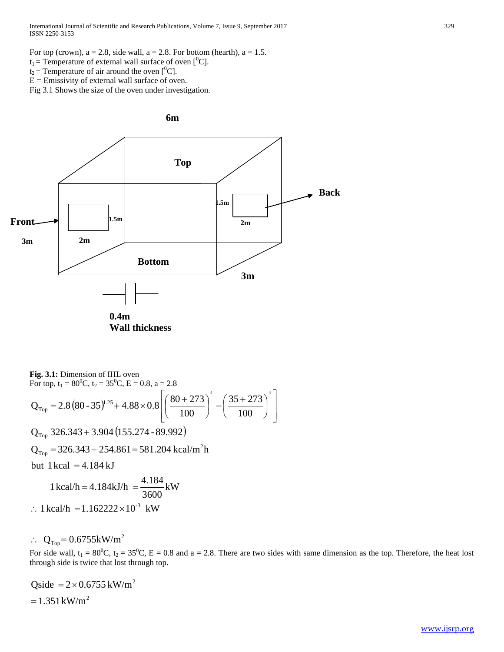International Journal of Scientific and Research Publications, Volume 7, Issue 9, September 2017 329 ISSN 2250-3153

- $t_1$  = Temperature of external wall surface of oven [<sup>0</sup>C].
- $t_2$  = Temperature of air around the oven  $[{}^{0}C]$ .
- $E =$  Emissivity of external wall surface of oven.

Fig 3.1 Shows the size of the oven under investigation.



**Fig. 3.1:** Dimension of IHL oven

For top, t<sub>1</sub> = 80<sup>0</sup>C, t<sub>2</sub> = 35<sup>0</sup>C, E = 0.8, a = 2.8  
\n
$$
Q_{Top} = 2.8 (80 - 35)^{1.25} + 4.88 \times 0.8 \left[ \left( \frac{80 + 273}{100} \right)^4 - \left( \frac{35 + 273}{100} \right)^4 \right]
$$

 $\rm Q_{Top}$  326.343 + 3.904 (155.274 - 89.992)

2  $Q_{Top}$  = 326.343 + 254.861 = 581.204 kcal/m<sup>2</sup>h

but  $1$  kcal  $=$  4.184 kJ

$$
1 \text{ kcal/h} = 4.184 \text{ kJ/h} = \frac{4.184}{3600} \text{ kW}
$$
  
:. 1 kcal/h = 1.162222×10<sup>-3</sup> kW

$$
\therefore Q_{Top} = 0.6755 \text{kW/m}^2
$$

For side wall,  $t_1 = 80^0$ C,  $t_2 = 35^0$ C, E = 0.8 and a = 2.8. There are two sides with same dimension as the top. Therefore, the heat lost through side is twice that lost through top.

Qside = 
$$
2 \times 0.6755 \text{ kW/m}^2
$$
  
=  $1.351 \text{ kW/m}^2$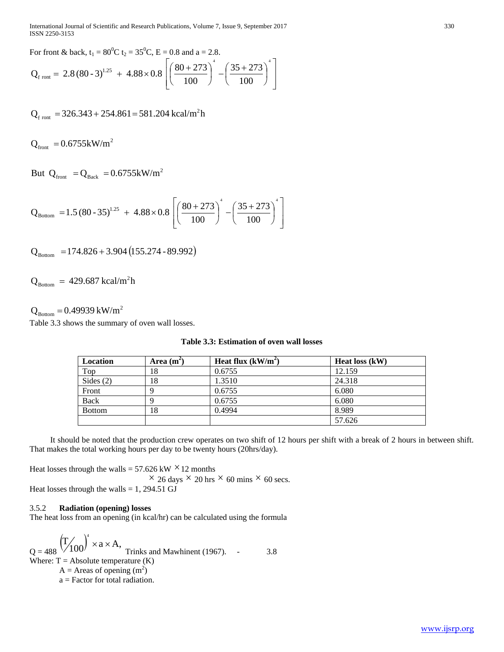International Journal of Scientific and Research Publications, Volume 7, Issue 9, September 2017 330 ISSN 2250-3153

For front & back,  $t_1 = 80^0C$   $t_2 = 35^0C$ ,  $E = 0.8$  and  $a = 2.8$ .

$$
Q_{\text{front}} = 2.8 (80-3)^{1.25} + 4.88 \times 0.8 \left[ \left( \frac{80+273}{100} \right)^4 - \left( \frac{35+273}{100} \right)^4 \right]
$$

 $Q_{\text{front}} = 326.343 + 254.861 = 581.204 \text{ kcal/m}^2 \text{h}$ 

 $Q_{\text{front}} = 0.6755 \text{kW/m}^2$ 

But  $Q_{front} = Q_{Back} = 0.6755 \text{kW/m}^2$ 

$$
Q_{\text{Bottom}} = 1.5 (80 - 35)^{1.25} + 4.88 \times 0.8 \left[ \left( \frac{80 + 273}{100} \right)^4 - \left( \frac{35 + 273}{100} \right)^4 \right]
$$

$$
Q_{\text{Bottom}} = 174.826 + 3.904 (155.274 - 89.992)
$$

 $Q_{\text{Bottom}} = 429.687 \text{ kcal/m}^2 \text{h}$ 

 $Q_{\text{Bottom}} = 0.49939 \text{ kW/m}^2$ 

Table 3.3 shows the summary of oven wall losses.

| Location    | Area $(m^2)$ | Heat flux $(kW/m^2)$ | Heat loss (kW) |
|-------------|--------------|----------------------|----------------|
| Top         | 18           | 0.6755               | 12.159         |
| Sides $(2)$ | 18           | 1.3510               | 24.318         |
| Front       |              | 0.6755               | 6.080          |

Back  $9 \t | 0.6755$  6.080 Bottom 18 0.4994 8.989

# **Table 3.3: Estimation of oven wall losses**

 It should be noted that the production crew operates on two shift of 12 hours per shift with a break of 2 hours in between shift. That makes the total working hours per day to be twenty hours (20hrs/day).

57.626

Heat losses through the walls =  $57.626$  kW  $\times$  12 months  $\times$  26 days  $\times$  20 hrs  $\times$  60 mins  $\times$  60 secs. Heat losses through the walls =  $1, 294.51$  GJ

#### 3.5.2 **Radiation (opening) losses**

The heat loss from an opening (in kcal/hr) can be calculated using the formula

$$
Q = 488 \left(\frac{T}{100}\right)^4 \times a \times A,
$$
Trinks and Mawhinent (1967).  
Where: T = Absolute temperature (K)  
A = Areas of opening (m<sup>2</sup>)  
a = Factor for total radiation.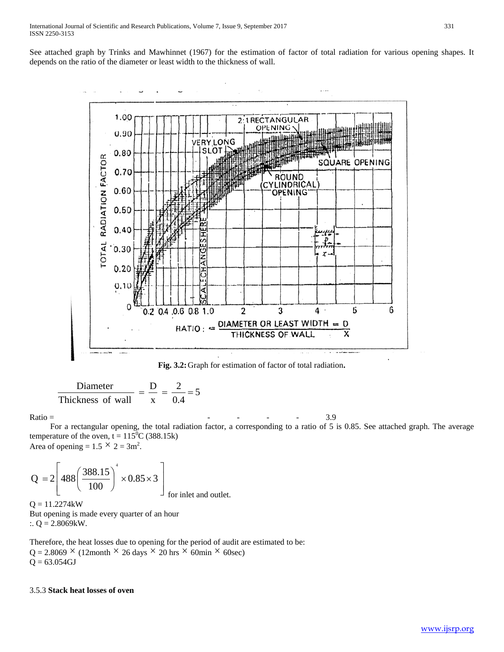See attached graph by Trinks and Mawhinnet (1967) for the estimation of factor of total radiation for various opening shapes. It depends on the ratio of the diameter or least width to the thickness of wall.



**Fig. 3.2:**Graph for estimation of factor of total radiation**.**

$$
\frac{\text{Diameter}}{\text{Thickness of wall}} = \frac{\text{D}}{\text{x}} = \frac{2}{0.4} = 5
$$

Ratio =

- - - - 3.9

 For a rectangular opening, the total radiation factor, a corresponding to a ratio of 5 is 0.85. See attached graph. The average temperature of the oven,  $t = 115^{\circ}$ C (388.15k)

Area of opening =  $1.5 \times 2 = 3$ m<sup>2</sup>.

$$
Q = 2 \left[ 488 \left( \frac{388.15}{100} \right)^4 \times 0.85 \times 3 \right]
$$
  
for inlet and outlet.

 $Q = 11.2274kW$ But opening is made every quarter of an hour :.  $Q = 2.8069$ kW.

Therefore, the heat losses due to opening for the period of audit are estimated to be:  $Q = 2.8069 \times (12$ month  $\times$  26 days  $\times$  20 hrs  $\times$  60min  $\times$  60sec)  $Q = 63.054GJ$ 

#### 3.5.3 **Stack heat losses of oven**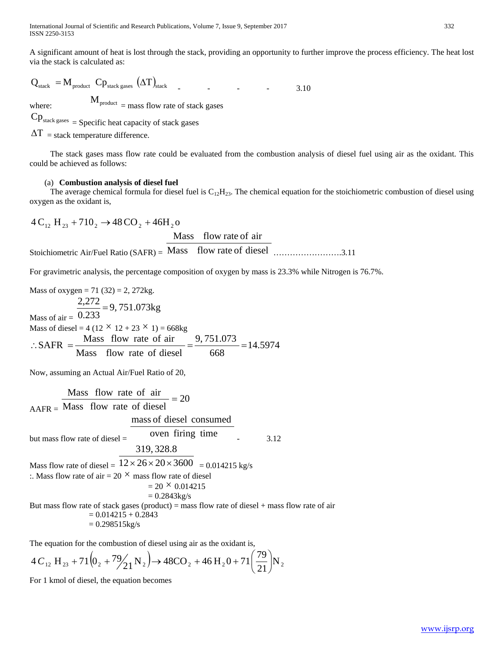A significant amount of heat is lost through the stack, providing an opportunity to further improve the process efficiency. The heat lost via the stack is calculated as:

$$
Q_{\text{stack}} = M_{\text{product}} C p_{\text{stack gases}} (\Delta T)_{\text{stack}} \tag{3.10}
$$

where:

 $\mathbf{M}_{\text{product}}$  = mass flow rate of stack gases

 $Cp_{\text{stack gases}} = \text{Specific heat capacity of stack gases}$ 

 $\Delta T$  = stack temperature difference.

 The stack gases mass flow rate could be evaluated from the combustion analysis of diesel fuel using air as the oxidant. This could be achieved as follows:

#### (a) **Combustion analysis of diesel fuel**

The average chemical formula for diesel fuel is  $C_{12}H_{23}$ . The chemical equation for the stoichiometric combustion of diesel using oxygen as the oxidant is,

$$
4 C_{12} H_{23} + 710_2 \rightarrow 48 CO_2 + 46 H_2 o
$$
  
Mass flow rate of air  
Stoichiometric Air/Fuel Ratio (SAFR) = Mass flow rate of diesel

For gravimetric analysis, the percentage composition of oxygen by mass is 23.3% while Nitrogen is 76.7%.

Mass of oxygen = 71 (32) = 2, 272kg.  
\nMass of air = 
$$
\frac{2,272}{0.233}
$$
 = 9, 751.073kg  
\nMass of diesel = 4 (12 × 12 + 23 × 1) = 668kg  
\n∴ SAFR =  $\frac{\text{Mass} \text{flow rate of air}}{\text{Mass} \text{flow rate of diesel}}$  =  $\frac{9,751.073}{668}$  = 14.5974

Now, assuming an Actual Air/Fuel Ratio of 20,

AAFR = 20 Mass flow rate of diesel Mass flow rate of air <sup>=</sup> but mass flow rate of diesel = oven firing time mass of diesel consumed - 3.12 Mass flow rate of diesel = 12 26 20 3600 319, 328.8 × × × = 0.014215 kg/s :. Mass flow rate of air = 20 × mass flow rate of diesel = 20 × 0.014215 = 0.2843kg/s But mass flow rate of stack gases (product) = mass flow rate of diesel + mass flow rate of air = 0.014215 + 0.2843 = 0.298515kg/s

The equation for the combustion of diesel using air as the oxidant is,

$$
4C_{12} \text{ H}_{23} + 71(0_2 + 79\frac{1}{21} \text{ N}_2) \rightarrow 48\text{CO}_2 + 46\text{ H}_2\text{O} + 71\left(\frac{79}{21}\right) \text{ N}_2
$$

For 1 kmol of diesel, the equation becomes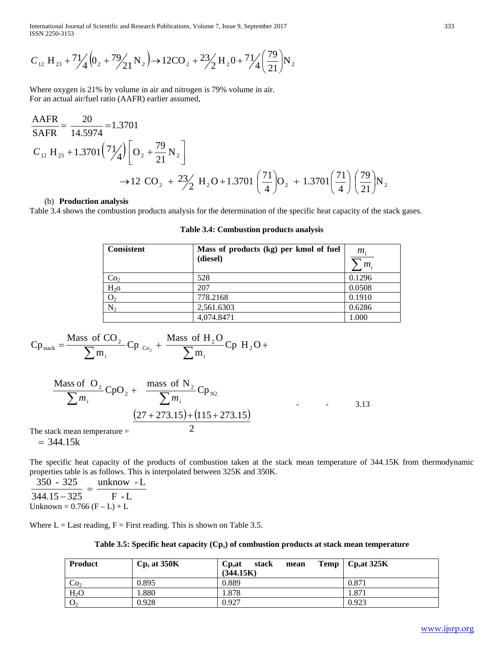International Journal of Scientific and Research Publications, Volume 7, Issue 9, September 2017 333 ISSN 2250-3153

$$
C_{12} \text{ H}_{23} + \frac{71}{4} \left( 0_2 + \frac{79}{21} \text{ N}_2 \right) \rightarrow 12 \text{CO}_2 + \frac{23}{2} \text{H}_2\text{O} + \frac{71}{4} \left( \frac{79}{21} \right) \text{N}_2
$$

Where oxygen is 21% by volume in air and nitrogen is 79% volume in air. For an actual air/fuel ratio (AAFR) earlier assumed,

$$
\frac{\text{AAFR}}{\text{SAFR}} = \frac{20}{14.5974} = 1.3701
$$
  
\n
$$
C_{12} \text{ H}_{23} + 1.3701 \left(\frac{71}{4}\right) \left[ \text{O}_2 + \frac{79}{21} \text{N}_2 \right]
$$
  
\n
$$
\rightarrow 12 \text{ CO}_2 + \frac{23}{2} \text{ H}_2\text{O} + 1.3701 \left(\frac{71}{4}\right) \text{O}_2 + 1.3701 \left(\frac{71}{4}\right) \left(\frac{79}{21}\right) \text{N}_2
$$

#### (b) **Production analysis**

Table 3.4 shows the combustion products analysis for the determination of the specific heat capacity of the stack gases.

| <b>Consistent</b> | Mass of products (kg) per kmol of fuel<br>(diesel) | $m_{\rm s}$<br>m <sub>1</sub> |
|-------------------|----------------------------------------------------|-------------------------------|
| Co <sub>2</sub>   | 528                                                | 0.1296                        |
| $H2$ o            | 207                                                | 0.0508                        |
| O <sub>2</sub>    | 778.2168                                           | 0.1910                        |
| $\overline{N}_2$  | 2,561.6303                                         | 0.6286                        |
|                   | 4,074.8471                                         | 1.000                         |

**Table 3.4: Combustion products analysis**

$$
Cp_{\text{stack}} = \frac{\text{Mass of CO}_2}{\sum m_i}Cp_{c_{0_2}} + \frac{\text{Mass of H}_2O}{\sum m_i}Cp_{i_1} + \frac{\sum m_i}{\sum m_i}Cp_{i_2}.
$$

$$
\frac{\text{Mass of O}_2}{\sum m_i} \text{CpO}_2 + \frac{\text{mass of N}_2}{\sum m_i} \text{Cp}_{N2}
$$
  
The stack mean temperature = 
$$
\frac{(27 + 273.15) + (115 + 273.15)}{2}
$$

The stack mean temperature =  $= 344.15k$ 

The specific heat capacity of the products of combustion taken at the stack mean temperature of 344.15K from thermodynamic properties table is as follows. This is interpolated between 325K and 350K.

 $\frac{350 - 325}{344.15 - 325} = \frac{\text{unknown} - \text{L}}{\text{F} - \text{L}}$ Unknown =  $0.766$  (F – L) + L

Where  $L =$  Last reading,  $F =$  First reading. This is shown on Table 3.5.

|  |  |  | Table 3.5: Specific heat capacity $(Cp_s)$ of combustion products at stack mean temperature |
|--|--|--|---------------------------------------------------------------------------------------------|
|--|--|--|---------------------------------------------------------------------------------------------|

| <b>Product</b>   | $Cp_s$ at 350K | stack<br>Cp <sub>s</sub> at<br>mean<br>(344.15K) | Temp $\vert$ Cp <sub>s</sub> at 325K |
|------------------|----------------|--------------------------------------------------|--------------------------------------|
| Co <sub>2</sub>  | 0.895          | 0.889                                            | 0.871                                |
| H <sub>2</sub> O | .880           | 878.،                                            | 1.871                                |
| O <sub>2</sub>   | 0.928          | 0.927                                            | 0.923                                |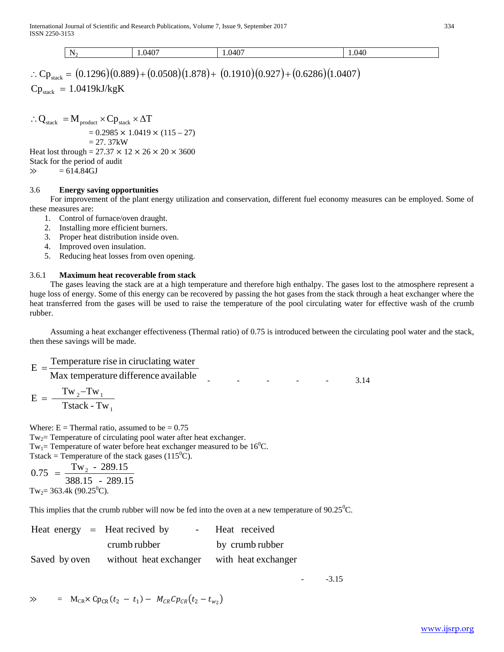$$
\begin{array}{|l|l|}\n\hline\nN_2 & 1.0407 & 1.0407 & 1.040 \\
\hline\n\therefore Cp_{\text{stack}} = (0.1296)(0.889) + (0.0508)(1.878) + (0.1910)(0.927) + (0.6286)(1.0407)\n\hline\n\end{array}
$$

 $\text{Cp}_{\text{stack}} = 1.0419 \text{kJ/kgK}$ 

∴ Q<sub>stack</sub> =  $M_{product}$  ×  $Cp_{stack}$  ×  $\Delta T$  $= 0.2985 \times 1.0419 \times (115 - 27)$  $= 27.37kW$ Heat lost through =  $27.37 \times 12 \times 26 \times 20 \times 3600$ Stack for the period of audit  $\gg$  = 614.84GJ

# 3.6 **Energy saving opportunities**

 For improvement of the plant energy utilization and conservation, different fuel economy measures can be employed. Some of these measures are:

- 1. Control of furnace/oven draught.
- 2. Installing more efficient burners.
- 3. Proper heat distribution inside oven.
- 4. Improved oven insulation.
- 5. Reducing heat losses from oven opening.

# 3.6.1 **Maximum heat recoverable from stack**

 The gases leaving the stack are at a high temperature and therefore high enthalpy. The gases lost to the atmosphere represent a huge loss of energy. Some of this energy can be recovered by passing the hot gases from the stack through a heat exchanger where the heat transferred from the gases will be used to raise the temperature of the pool circulating water for effective wash of the crumb rubber.

 Assuming a heat exchanger effectiveness (Thermal ratio) of 0.75 is introduced between the circulating pool water and the stack, then these savings will be made.

Max temperature difference available  $E = \frac{\text{Temperature rise in circulating water}}{\text{100}}$ - - - - - 3.14 2  $1 w_1$  $E = \frac{Tw_2 - Tw}{T}$ 

1 Tstack - Tw

Where:  $E =$  Thermal ratio, assumed to be  $= 0.75$  $Tw_2$ = Temperature of circulating pool water after heat exchanger. Tw<sub>1</sub>= Temperature of water before heat exchanger measured to be  $16^0C$ . Tstack = Temperature of the stack gases (115<sup>o</sup>C).

388.15 - 289.15  $0.75 = \frac{Tw_{2} - 289.15}{200.15}$ Tw<sub>2</sub>= 363.4k (90.25<sup>0</sup>C).

This implies that the crumb rubber will now be fed into the oven at a new temperature of  $90.25^{\circ}$ C.

| Heat energy $=$ Heat recived by |                        | Heat received       |
|---------------------------------|------------------------|---------------------|
|                                 | crumb rubber           | by crumb rubber     |
| Saved by oven                   | without heat exchanger | with heat exchanger |

 $-3.15$ 

$$
\gg \qquad = \quad M_{CR} \times Cp_{CR}(t_2 - t_1) - \quad M_{CR}Cp_{CR}(t_2 - t_{w_2})
$$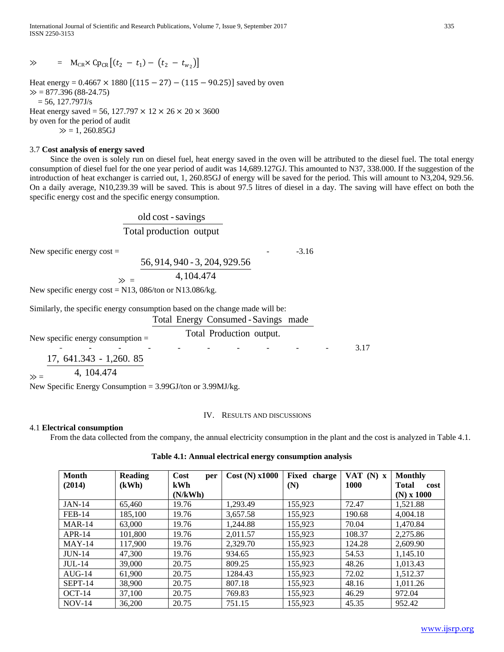International Journal of Scientific and Research Publications, Volume 7, Issue 9, September 2017 335 ISSN 2250-3153

 $\gg$  = M<sub>CR</sub>× Cp<sub>CR</sub>  $[(t_2 - t_1) - (t_2 - t_{w_2})]$ 

Heat energy =  $0.4667 \times 1880$  [(115 – 27) – (115 – 90.25)] saved by oven  $\gg$  = 877.396 (88-24.75)  $= 56, 127.797J/s$ Heat energy saved = 56, 127.797  $\times$  12  $\times$  26  $\times$  20  $\times$  3600 by oven for the period of audit  $\gg$  = 1, 260.85GJ

#### 3.7 **Cost analysis of energy saved**

 Since the oven is solely run on diesel fuel, heat energy saved in the oven will be attributed to the diesel fuel. The total energy consumption of diesel fuel for the one year period of audit was 14,689.127GJ. This amounted to N37, 338.000. If the suggestion of the introduction of heat exchanger is carried out, 1, 260.85GJ of energy will be saved for the period. This will amount to N3,204, 929.56. On a daily average, N10,239.39 will be saved. This is about 97.5 litres of diesel in a day. The saving will have effect on both the specific energy cost and the specific energy consumption.

> Total production output old cost - savings

 $\gg$  = 4,104.474

56, 914, 940 - 3, 204, 929.56

New specific energy  $cost =$ 

 $-3.16$ 

New specific energy cost = 
$$
N13
$$
, 086/ton or  $N13.086/kg$ .

Similarly, the specific energy consumption based on the change made will be:

Total Energy Consumed -Savings made

# New specific energy consumption = Total Production output.

- - - - - - - - - - - - - - 3.17 17, 641.343 - 1,260. 85

$$
\gg = 4, 104.474
$$

New Specific Energy Consumption = 3.99GJ/ton or 3.99MJ/kg.

#### IV. RESULTS AND DISCUSSIONS

#### 4.1 **Electrical consumption**

From the data collected from the company, the annual electricity consumption in the plant and the cost is analyzed in Table 4.1.

**Table 4.1: Annual electrical energy consumption analysis**

| Month         | <b>Reading</b> | Cost<br>per | $Cost(N)$ x1000 | Fixed<br>charge | VAT $(N)$ x | <b>Monthly</b>       |
|---------------|----------------|-------------|-----------------|-----------------|-------------|----------------------|
| (2014)        | (kWh)          | <b>kWh</b>  |                 | (N)             | <b>1000</b> | <b>Total</b><br>cost |
|               |                | (N/kWh)     |                 |                 |             | $(N)$ x 1000         |
| <b>JAN-14</b> | 65,460         | 19.76       | 1.293.49        | 155,923         | 72.47       | 1,521.88             |
| <b>FEB-14</b> | 185,100        | 19.76       | 3,657.58        | 155,923         | 190.68      | 4,004.18             |
| $MAR-14$      | 63,000         | 19.76       | 1.244.88        | 155,923         | 70.04       | 1,470.84             |
| $APR-14$      | 101.800        | 19.76       | 2.011.57        | 155.923         | 108.37      | 2,275.86             |
| $MAY-14$      | 117,900        | 19.76       | 2,329.70        | 155,923         | 124.28      | 2,609.90             |
| <b>JUN-14</b> | 47,300         | 19.76       | 934.65          | 155,923         | 54.53       | 1,145.10             |
| $JUL-14$      | 39,000         | 20.75       | 809.25          | 155.923         | 48.26       | 1,013.43             |
| $AUG-14$      | 61,900         | 20.75       | 1284.43         | 155.923         | 72.02       | 1.512.37             |
| SEPT-14       | 38,900         | 20.75       | 807.18          | 155.923         | 48.16       | 1.011.26             |
| $OCT-14$      | 37,100         | 20.75       | 769.83          | 155.923         | 46.29       | 972.04               |
| $NOV-14$      | 36,200         | 20.75       | 751.15          | 155.923         | 45.35       | 952.42               |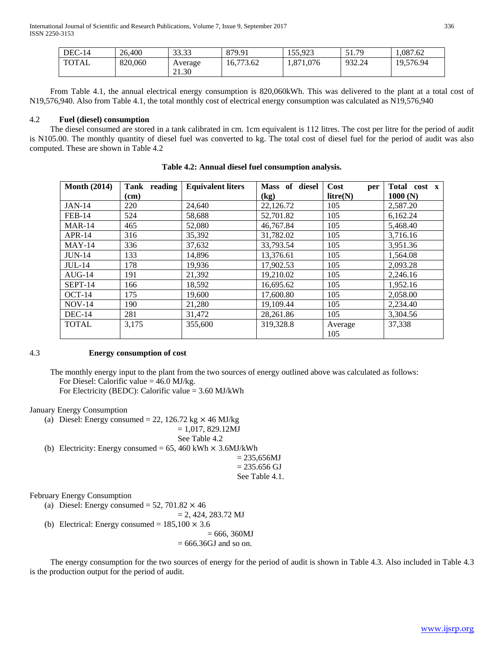| $DEC-14$     | 26,400  | 33.33<br>JJ.JJ | 879.91    | 155.923   | $\epsilon$ 1<br>79<br>21.75 | 1.087.62  |
|--------------|---------|----------------|-----------|-----------|-----------------------------|-----------|
| <b>TOTAL</b> | 820,060 | Average        | 16.773.62 | 1,871,076 | 932.24                      | 19,576.94 |
|              |         | 21.30          |           |           |                             |           |

 From Table 4.1, the annual electrical energy consumption is 820,060kWh. This was delivered to the plant at a total cost of N19,576,940. Also from Table 4.1, the total monthly cost of electrical energy consumption was calculated as N19,576,940

#### 4.2 **Fuel (diesel) consumption**

 The diesel consumed are stored in a tank calibrated in cm. 1cm equivalent is 112 litres. The cost per litre for the period of audit is N105.00. The monthly quantity of diesel fuel was converted to kg. The total cost of diesel fuel for the period of audit was also computed. These are shown in Table 4.2

| <b>Month (2014)</b> | Tank reading | <b>Equivalent liters</b> | Mass of diesel | Cost<br>per    | Total cost<br>$\mathbf{x}$ |
|---------------------|--------------|--------------------------|----------------|----------------|----------------------------|
|                     | (cm)         |                          | (kg)           | litre(N)       | 1000(N)                    |
| <b>JAN-14</b>       | 220          | 24,640                   | 22,126.72      | 105            | 2,587.20                   |
| <b>FEB-14</b>       | 524          | 58,688                   | 52,701.82      | 105            | 6,162.24                   |
| $MAR-14$            | 465          | 52,080                   | 46,767.84      | 105            | 5.468.40                   |
| $APR-14$            | 316          | 35,392                   | 31,782.02      | 105            | 3,716.16                   |
| $MAY-14$            | 336          | 37,632                   | 33,793.54      | 105            | 3,951.36                   |
| <b>JUN-14</b>       | 133          | 14.896                   | 13.376.61      | 105            | 1.564.08                   |
| $JUL-14$            | 178          | 19,936                   | 17,902.53      | 105            | 2,093.28                   |
| $AUG-14$            | 191          | 21,392                   | 19,210.02      | 105            | 2,246.16                   |
| SEPT-14             | 166          | 18,592                   | 16,695.62      | 105            | 1,952.16                   |
| $OCT-14$            | 175          | 19,600                   | 17,600.80      | 105            | 2,058.00                   |
| $NOV-14$            | 190          | 21,280                   | 19,109.44      | 105            | 2,234.40                   |
| $DEC-14$            | 281          | 31,472                   | 28.261.86      | 105            | 3.304.56                   |
| <b>TOTAL</b>        | 3,175        | 355,600                  | 319.328.8      | Average<br>105 | 37,338                     |

**Table 4.2: Annual diesel fuel consumption analysis.**

# 4.3 **Energy consumption of cost**

 The monthly energy input to the plant from the two sources of energy outlined above was calculated as follows: For Diesel: Calorific value  $= 46.0$  MJ/kg.

For Electricity (BEDC): Calorific value = 3.60 MJ/kWh

January Energy Consumption

(a) Diesel: Energy consumed = 22, 126.72 kg  $\times$  46 MJ/kg

 $= 1,017, 829.12MJ$ 

```
See Table 4.2
```
(b) Electricity: Energy consumed =  $65$ , 460 kWh  $\times$  3.6MJ/kWh

```
= 235,656MJ= 235.656 GJ
See Table 4.1.
```
February Energy Consumption

(a) Diesel: Energy consumed = 52, 701.82  $\times$  46

 $= 2, 424, 283.72$  MJ

(b) Electrical: Energy consumed =  $185,100 \times 3.6$ 

```
= 666, 360MJ= 666.36GJ and so on.
```
 The energy consumption for the two sources of energy for the period of audit is shown in Table 4.3. Also included in Table 4.3 is the production output for the period of audit.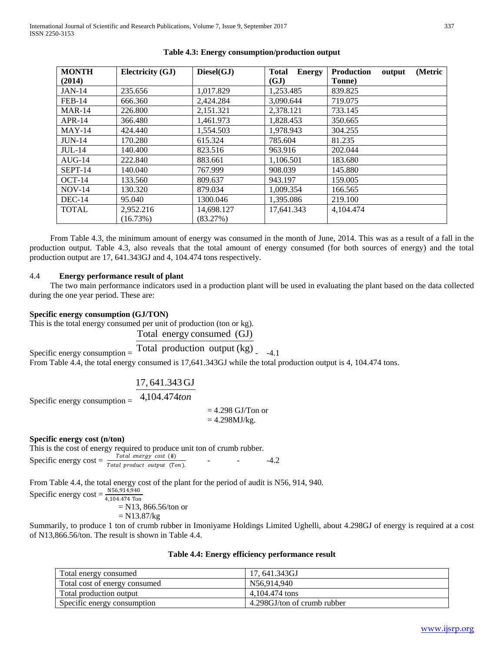| <b>MONTH</b>  | Electricity (GJ) | Diesel(GJ) | <b>Total</b><br><b>Energy</b> | (Metric<br><b>Production</b><br>output |
|---------------|------------------|------------|-------------------------------|----------------------------------------|
| (2014)        |                  |            | (GJ)                          | Tonne)                                 |
| <b>JAN-14</b> | 235.656          | 1,017.829  | 1,253.485                     | 839.825                                |
| <b>FEB-14</b> | 666.360          | 2,424.284  | 3.090.644                     | 719.075                                |
| $MAR-14$      | 226.800          | 2,151.321  | 2,378.121                     | 733.145                                |
| $APR-14$      | 366.480          | 1,461.973  | 1,828.453                     | 350.665                                |
| $MAY-14$      | 424.440          | 1,554.503  | 1,978.943                     | 304.255                                |
| $JUN-14$      | 170.280          | 615.324    | 785.604                       | 81.235                                 |
| $JUL-14$      | 140.400          | 823.516    | 963.916                       | 202.044                                |
| $AUG-14$      | 222.840          | 883.661    | 1,106.501                     | 183.680                                |
| SEPT-14       | 140.040          | 767.999    | 908.039                       | 145.880                                |
| $OCT-14$      | 133.560          | 809.637    | 943.197                       | 159.005                                |
| $NOV-14$      | 130.320          | 879.034    | 1.009.354                     | 166.565                                |
| $DEC-14$      | 95.040           | 1300.046   | 1,395.086                     | 219.100                                |
| <b>TOTAL</b>  | 2,952.216        | 14,698.127 | 17,641.343                    | 4,104.474                              |
|               | (16.73%)         | (83.27%)   |                               |                                        |

# **Table 4.3: Energy consumption/production output**

 From Table 4.3, the minimum amount of energy was consumed in the month of June, 2014. This was as a result of a fall in the production output. Table 4.3, also reveals that the total amount of energy consumed (for both sources of energy) and the total production output are 17, 641.343GJ and 4, 104.474 tons respectively.

# 4.4 **Energy performance result of plant**

 The two main performance indicators used in a production plant will be used in evaluating the plant based on the data collected during the one year period. These are:

#### **Specific energy consumption (GJ/TON)**

This is the total energy consumed per unit of production (ton or kg).

Total energy consumed (GJ)

Total production output (kg) 
$$
_{-4.1}
$$

From Table 4.4, the total energy consumed is  $17,641.343$ GJ while the total production output is 4, 104.474 tons.

$$
17,641.343 \,\text{GJ}
$$

Specific energy consumption = 4,104.474*ton*

Specific energy consumption  $=$ 

 $= 4.298$  GJ/Ton or  $= 4.298 MJ/kg$ .

#### **Specific energy cost (n/ton)**

This is the cost of energy required to produce unit ton of crumb rubber. Specific energy cost =  $\frac{Total\ energy\ cost\ (\#)}{Total\ product\ output\ (Ton).}$  - - - - - -4.2

From Table 4.4, the total energy cost of the plant for the period of audit is N56, 914, 940.

Specific energy  $\cos t = \frac{N56,914,940}{4,104.474 \text{ Ton}}$ 

= N13, 866.56/ton or

 $= N13.87/kg$ 

Summarily, to produce 1 ton of crumb rubber in Imoniyame Holdings Limited Ughelli, about 4.298GJ of energy is required at a cost of N13,866.56/ton. The result is shown in Table 4.4.

|  |  |  | Table 4.4: Energy efficiency performance result |  |
|--|--|--|-------------------------------------------------|--|
|--|--|--|-------------------------------------------------|--|

| Total energy consumed         | 17, 641.343GJ               |
|-------------------------------|-----------------------------|
| Total cost of energy consumed | N56,914,940                 |
| Total production output       | 4.104.474 tons              |
| Specific energy consumption   | 4.298GJ/ton of crumb rubber |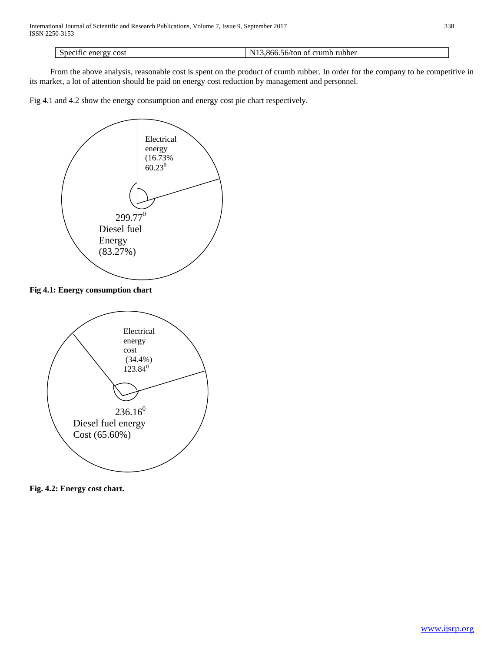Specific energy cost N13,866.56/ton of crumb rubber

 From the above analysis, reasonable cost is spent on the product of crumb rubber. In order for the company to be competitive in its market, a lot of attention should be paid on energy cost reduction by management and personnel.

Fig 4.1 and 4.2 show the energy consumption and energy cost pie chart respectively.



# **Fig 4.1: Energy consumption chart**



**Fig. 4.2: Energy cost chart.**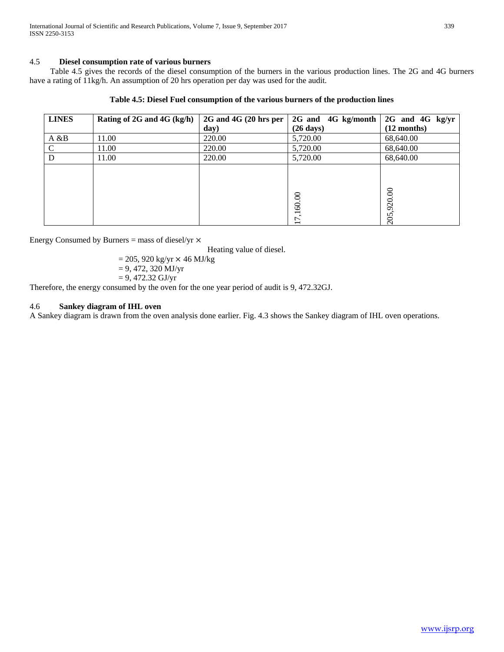# 4.5 **Diesel consumption rate of various burners**

 Table 4.5 gives the records of the diesel consumption of the burners in the various production lines. The 2G and 4G burners have a rating of 11kg/h. An assumption of 20 hrs operation per day was used for the audit.

|  | Table 4.5: Diesel Fuel consumption of the various burners of the production lines |  |  |  |
|--|-----------------------------------------------------------------------------------|--|--|--|
|  |                                                                                   |  |  |  |

| <b>LINES</b> | Rating of 2G and 4G $(kg/h)$ | 2G and 4G (20 hrs per | 2G and 4G kg/month  | 2G and 4G kg/yr |
|--------------|------------------------------|-----------------------|---------------------|-----------------|
|              |                              | day)                  | $(26 \text{ days})$ | $(12$ months)   |
| A & B        | 11.00                        | 220.00                | 5,720.00            | 68,640.00       |
| C            | 11.00                        | 220.00                | 5,720.00            | 68,640.00       |
| D            | 11.00                        | 220.00                | 5,720.00            | 68,640.00       |
|              |                              |                       |                     |                 |
|              |                              |                       |                     |                 |
|              |                              |                       |                     |                 |
|              |                              |                       | 60.00               | 205,920.00      |
|              |                              |                       | ⊣                   |                 |
|              |                              |                       | 7                   |                 |

Energy Consumed by Burners = mass of diesel/yr  $\times$ 

Heating value of diesel.

$$
= 205, 920 \text{ kg/yr} \times 46 \text{ MJ/kg}
$$

$$
= 9, 472, 320 \text{ MJ/yr}
$$

$$
= 9,472.32 \text{ GJ/yr}
$$

Therefore, the energy consumed by the oven for the one year period of audit is 9, 472.32GJ.

# 4.6 **Sankey diagram of IHL oven**

A Sankey diagram is drawn from the oven analysis done earlier. Fig. 4.3 shows the Sankey diagram of IHL oven operations.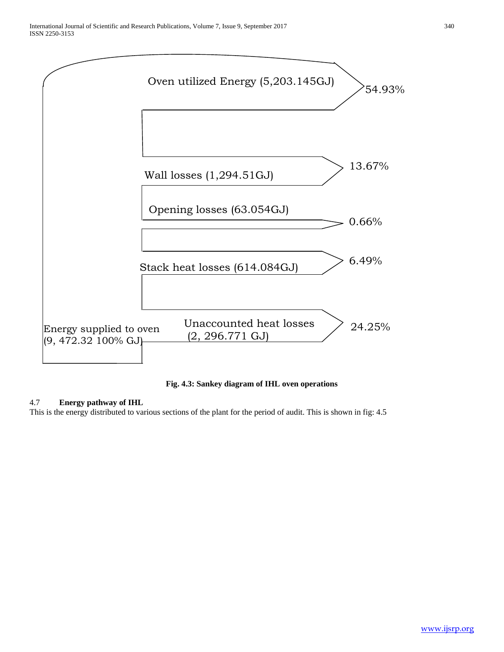

**Fig. 4.3: Sankey diagram of IHL oven operations**

# 4.7 **Energy pathway of IHL**

This is the energy distributed to various sections of the plant for the period of audit. This is shown in fig: 4.5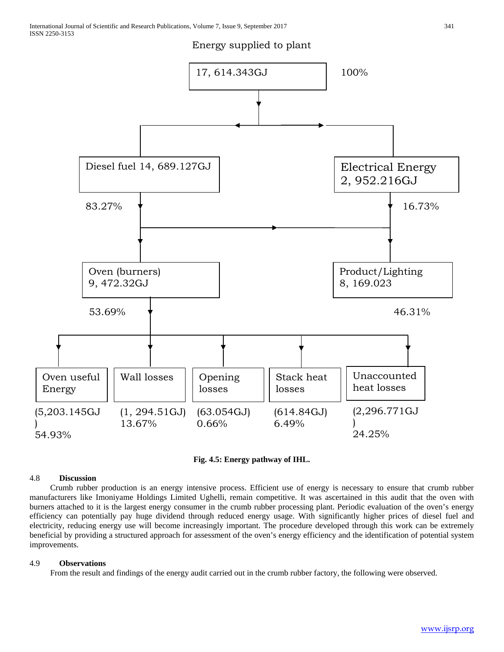Energy supplied to plant





#### 4.8 **Discussion**

)

 Crumb rubber production is an energy intensive process. Efficient use of energy is necessary to ensure that crumb rubber manufacturers like Imoniyame Holdings Limited Ughelli, remain competitive. It was ascertained in this audit that the oven with burners attached to it is the largest energy consumer in the crumb rubber processing plant. Periodic evaluation of the oven's energy efficiency can potentially pay huge dividend through reduced energy usage. With significantly higher prices of diesel fuel and electricity, reducing energy use will become increasingly important. The procedure developed through this work can be extremely beneficial by providing a structured approach for assessment of the oven's energy efficiency and the identification of potential system improvements.

# 4.9 **Observations**

From the result and findings of the energy audit carried out in the crumb rubber factory, the following were observed.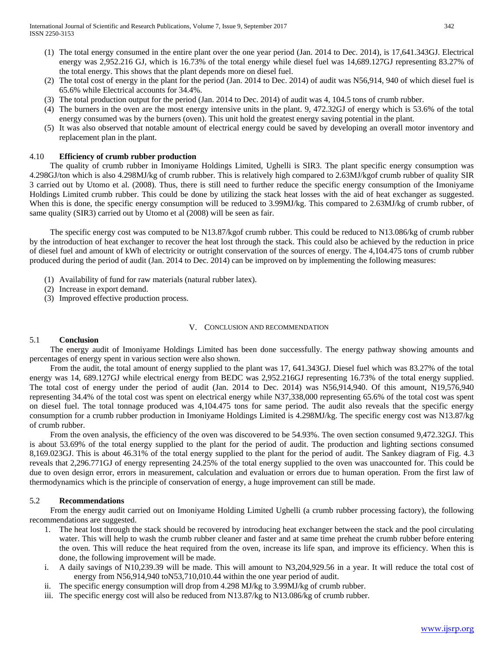- (1) The total energy consumed in the entire plant over the one year period (Jan. 2014 to Dec. 2014), is 17,641.343GJ. Electrical energy was 2,952.216 GJ, which is 16.73% of the total energy while diesel fuel was 14,689.127GJ representing 83.27% of the total energy. This shows that the plant depends more on diesel fuel.
- (2) The total cost of energy in the plant for the period (Jan. 2014 to Dec. 2014) of audit was N56,914, 940 of which diesel fuel is 65.6% while Electrical accounts for 34.4%.
- (3) The total production output for the period (Jan. 2014 to Dec. 2014) of audit was 4, 104.5 tons of crumb rubber.
- (4) The burners in the oven are the most energy intensive units in the plant. 9, 472.32GJ of energy which is 53.6% of the total energy consumed was by the burners (oven). This unit hold the greatest energy saving potential in the plant.
- (5) It was also observed that notable amount of electrical energy could be saved by developing an overall motor inventory and replacement plan in the plant.

# 4.10 **Efficiency of crumb rubber production**

 The quality of crumb rubber in Imoniyame Holdings Limited, Ughelli is SIR3. The plant specific energy consumption was 4.298GJ/ton which is also 4.298MJ/kg of crumb rubber. This is relatively high compared to 2.63MJ/kgof crumb rubber of quality SIR 3 carried out by Utomo et al. (2008). Thus, there is still need to further reduce the specific energy consumption of the Imoniyame Holdings Limited crumb rubber. This could be done by utilizing the stack heat losses with the aid of heat exchanger as suggested. When this is done, the specific energy consumption will be reduced to 3.99MJ/kg. This compared to 2.63MJ/kg of crumb rubber, of same quality (SIR3) carried out by Utomo et al (2008) will be seen as fair.

 The specific energy cost was computed to be N13.87/kgof crumb rubber. This could be reduced to N13.086/kg of crumb rubber by the introduction of heat exchanger to recover the heat lost through the stack. This could also be achieved by the reduction in price of diesel fuel and amount of kWh of electricity or outright conservation of the sources of energy. The 4,104.475 tons of crumb rubber produced during the period of audit (Jan. 2014 to Dec. 2014) can be improved on by implementing the following measures:

- (1) Availability of fund for raw materials (natural rubber latex).
- (2) Increase in export demand.
- (3) Improved effective production process.

#### V. CONCLUSION AND RECOMMENDATION

# 5.1 **Conclusion**

 The energy audit of Imoniyame Holdings Limited has been done successfully. The energy pathway showing amounts and percentages of energy spent in various section were also shown.

 From the audit, the total amount of energy supplied to the plant was 17, 641.343GJ. Diesel fuel which was 83.27% of the total energy was 14, 689.127GJ while electrical energy from BEDC was 2,952.216GJ representing 16.73% of the total energy supplied. The total cost of energy under the period of audit (Jan. 2014 to Dec. 2014) was N56,914,940. Of this amount, N19,576,940 representing 34.4% of the total cost was spent on electrical energy while N37,338,000 representing 65.6% of the total cost was spent on diesel fuel. The total tonnage produced was 4,104.475 tons for same period. The audit also reveals that the specific energy consumption for a crumb rubber production in Imoniyame Holdings Limited is 4.298MJ/kg. The specific energy cost was N13.87/kg of crumb rubber.

From the oven analysis, the efficiency of the oven was discovered to be 54.93%. The oven section consumed 9,472.32GJ. This is about 53.69% of the total energy supplied to the plant for the period of audit. The production and lighting sections consumed 8,169.023GJ. This is about 46.31% of the total energy supplied to the plant for the period of audit. The Sankey diagram of Fig. 4.3 reveals that 2,296.771GJ of energy representing 24.25% of the total energy supplied to the oven was unaccounted for. This could be due to oven design error, errors in measurement, calculation and evaluation or errors due to human operation. From the first law of thermodynamics which is the principle of conservation of energy, a huge improvement can still be made.

#### 5.2 **Recommendations**

 From the energy audit carried out on Imoniyame Holding Limited Ughelli (a crumb rubber processing factory), the following recommendations are suggested.

- 1. The heat lost through the stack should be recovered by introducing heat exchanger between the stack and the pool circulating water. This will help to wash the crumb rubber cleaner and faster and at same time preheat the crumb rubber before entering the oven. This will reduce the heat required from the oven, increase its life span, and improve its efficiency. When this is done, the following improvement will be made.
- i. A daily savings of N10,239.39 will be made. This will amount to N3,204,929.56 in a year. It will reduce the total cost of energy from N56,914,940 toN53,710,010.44 within the one year period of audit.
- ii. The specific energy consumption will drop from 4.298 MJ/kg to 3.99MJ/kg of crumb rubber.
- iii. The specific energy cost will also be reduced from N13.87/kg to N13.086/kg of crumb rubber.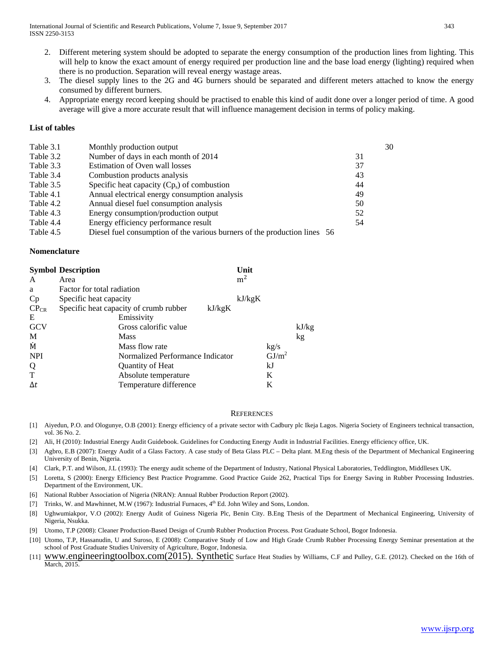- 2. Different metering system should be adopted to separate the energy consumption of the production lines from lighting. This will help to know the exact amount of energy required per production line and the base load energy (lighting) required when there is no production. Separation will reveal energy wastage areas.
- 3. The diesel supply lines to the 2G and 4G burners should be separated and different meters attached to know the energy consumed by different burners.
- 4. Appropriate energy record keeping should be practised to enable this kind of audit done over a longer period of time. A good average will give a more accurate result that will influence management decision in terms of policy making.

#### **List of tables**

| Table 3.1 | Monthly production output                                                 | 30 |
|-----------|---------------------------------------------------------------------------|----|
| Table 3.2 | Number of days in each month of 2014                                      | 31 |
| Table 3.3 | Estimation of Oven wall losses                                            | 37 |
| Table 3.4 | Combustion products analysis                                              | 43 |
| Table 3.5 | Specific heat capacity $(Cp_s)$ of combustion                             | 44 |
| Table 4.1 | Annual electrical energy consumption analysis                             | 49 |
| Table 4.2 | Annual diesel fuel consumption analysis                                   | 50 |
| Table 4.3 | Energy consumption/production output                                      | 52 |
| Table 4.4 | Energy efficiency performance result                                      | 54 |
| Table 4.5 | Diesel fuel consumption of the various burners of the production lines 56 |    |

#### **Nomenclature**

|            | <b>Symbol Description</b>                        | Unit           |                   |       |
|------------|--------------------------------------------------|----------------|-------------------|-------|
| A          | Area                                             | m <sup>2</sup> |                   |       |
| a          | Factor for total radiation                       |                |                   |       |
| Cp         | Specific heat capacity                           | kJ/kgK         |                   |       |
| $CP_{CR}$  | Specific heat capacity of crumb rubber<br>kJ/kgK |                |                   |       |
| E          | Emissivity                                       |                |                   |       |
| <b>GCV</b> | Gross calorific value                            |                |                   | kJ/kg |
| M          | <b>Mass</b>                                      |                |                   | kg    |
| M          | Mass flow rate                                   |                | kg/s              |       |
| <b>NPI</b> | Normalized Performance Indicator                 |                | GI/m <sup>2</sup> |       |
| Q          | Quantity of Heat                                 |                | kJ                |       |
| T          | Absolute temperature                             |                | K                 |       |
| $\Delta t$ | Temperature difference                           |                | K                 |       |

#### **REFERENCES**

- [1] Aiyedun, P.O. and Ologunye, O.B (2001): Energy efficiency of a private sector with Cadbury plc Ikeja Lagos. Nigeria Society of Engineers technical transaction, vol. 36 No. 2.
- [2] Ali, H (2010): Industrial Energy Audit Guidebook. Guidelines for Conducting Energy Audit in Industrial Facilities. Energy efficiency office, UK.
- [3] Agbro, E.B (2007): Energy Audit of a Glass Factory. A case study of Beta Glass PLC Delta plant. M.Eng thesis of the Department of Mechanical Engineering University of Benin, Nigeria.
- [4] Clark, P.T. and Wilson, J.L (1993): The energy audit scheme of the Department of Industry, National Physical Laboratories, Teddlington, Middllesex UK.
- [5] Loretta, S (2000): Energy Efficiency Best Practice Programme. Good Practice Guide 262, Practical Tips for Energy Saving in Rubber Processing Industries. Department of the Environment, UK.
- [6] National Rubber Association of Nigeria (NRAN): Annual Rubber Production Report (2002).
- [7] Trinks, W. and Mawhinnet, M.W (1967): Industrial Furnaces,  $4<sup>th</sup>$  Ed. John Wiley and Sons, London.
- [8] Ughwumiakpor, V.O (2002): Energy Audit of Guiness Nigeria Plc, Benin City. B.Eng Thesis of the Department of Mechanical Engineering, University of Nigeria, Nsukka.
- [9] Utomo, T.P (2008): Cleaner Production-Based Design of Crumb Rubber Production Process. Post Graduate School, Bogor Indonesia.
- [10] Utomo, T.P, Hassanudin, U and Suroso, E (2008): Comparative Study of Low and High Grade Crumb Rubber Processing Energy Seminar presentation at the school of Post Graduate Studies University of Agriculture, Bogor, Indonesia.
- [11] WWW.engineeringtoolbox.com(2015). Synthetic Surface Heat Studies by Williams, C.F and Pulley, G.E. (2012). Checked on the 16th of March, 2015.